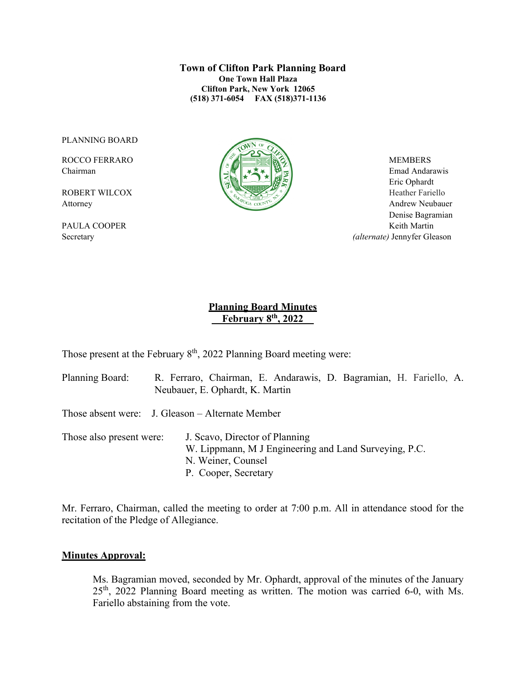**Town of Clifton Park Planning Board One Town Hall Plaza Clifton Park, New York 12065 (518) 371-6054 FAX (518)371-1136**

PLANNING BOARD



Chairman Emad Andarawis  $\|\cdot\|$   $\leq$   $\|\cdot\|$   $\leq$   $\leq$   $\|\cdot\|$   $\leq$   $\|\cdot\|$   $\leq$   $\leq$  Emad Andarawis Eric Ophardt Attorney Andrew Neubauer Denise Bagramian PAULA COOPER Keith Martin Secretary *(alternate)* Jennyfer Gleason

## **Planning Board Minutes \_ February 8th, 2022\_\_**

Those present at the February  $8<sup>th</sup>$ , 2022 Planning Board meeting were:

Planning Board: R. Ferraro, Chairman, E. Andarawis, D. Bagramian, H. Fariello, A. Neubauer, E. Ophardt, K. Martin

Those absent were: J. Gleason – Alternate Member

Those also present were: J. Scavo, Director of Planning W. Lippmann, M J Engineering and Land Surveying, P.C. N. Weiner, Counsel P. Cooper, Secretary

Mr. Ferraro, Chairman, called the meeting to order at 7:00 p.m. All in attendance stood for the recitation of the Pledge of Allegiance.

## **Minutes Approval:**

Ms. Bagramian moved, seconded by Mr. Ophardt, approval of the minutes of the January  $25<sup>th</sup>$ , 2022 Planning Board meeting as written. The motion was carried 6-0, with Ms. Fariello abstaining from the vote.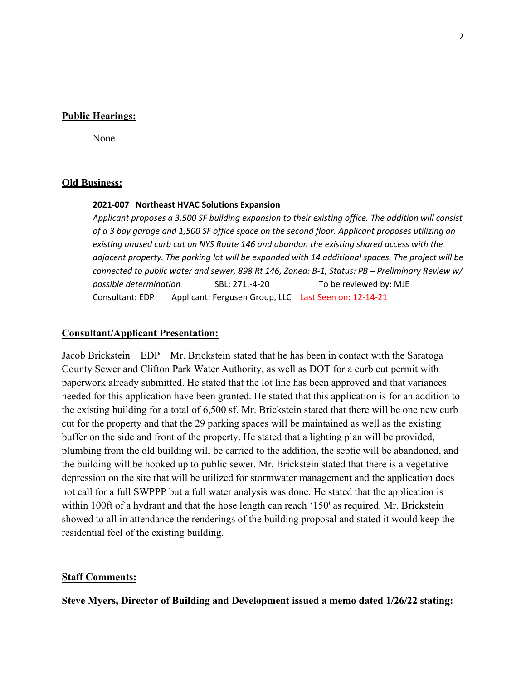## **Public Hearings:**

None

#### **Old Business:**

#### **2021-007 Northeast HVAC Solutions Expansion**

*Applicant proposes a 3,500 SF building expansion to their existing office. The addition will consist of a 3 bay garage and 1,500 SF office space on the second floor. Applicant proposes utilizing an existing unused curb cut on NYS Route 146 and abandon the existing shared access with the adjacent property. The parking lot will be expanded with 14 additional spaces. The project will be connected to public water and sewer, 898 Rt 146, Zoned: B-1, Status: PB – Preliminary Review w/ possible determination* SBL: 271.-4-20To be reviewed by: MJE Consultant: EDP Applicant: Fergusen Group, LLC Last Seen on: 12-14-21

#### **Consultant/Applicant Presentation:**

Jacob Brickstein – EDP – Mr. Brickstein stated that he has been in contact with the Saratoga County Sewer and Clifton Park Water Authority, as well as DOT for a curb cut permit with paperwork already submitted. He stated that the lot line has been approved and that variances needed for this application have been granted. He stated that this application is for an addition to the existing building for a total of 6,500 sf. Mr. Brickstein stated that there will be one new curb cut for the property and that the 29 parking spaces will be maintained as well as the existing buffer on the side and front of the property. He stated that a lighting plan will be provided, plumbing from the old building will be carried to the addition, the septic will be abandoned, and the building will be hooked up to public sewer. Mr. Brickstein stated that there is a vegetative depression on the site that will be utilized for stormwater management and the application does not call for a full SWPPP but a full water analysis was done. He stated that the application is within 100ft of a hydrant and that the hose length can reach '150' as required. Mr. Brickstein showed to all in attendance the renderings of the building proposal and stated it would keep the residential feel of the existing building.

#### **Staff Comments:**

**Steve Myers, Director of Building and Development issued a memo dated 1/26/22 stating:**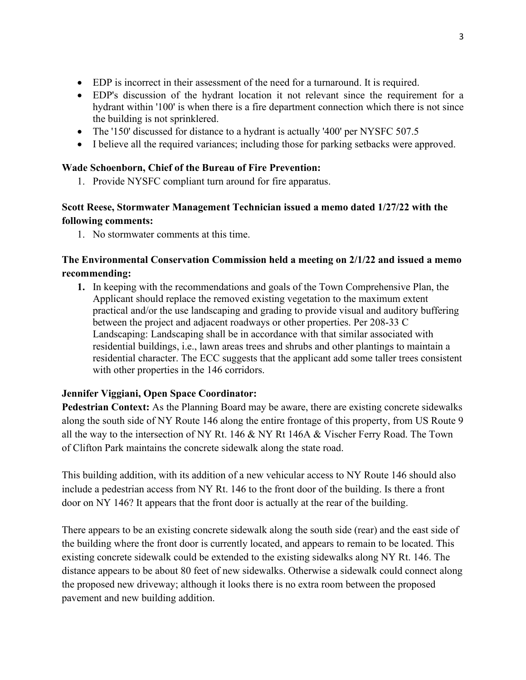- EDP is incorrect in their assessment of the need for a turnaround. It is required.
- EDP's discussion of the hydrant location it not relevant since the requirement for a hydrant within '100' is when there is a fire department connection which there is not since the building is not sprinklered.
- The '150' discussed for distance to a hydrant is actually '400' per NYSFC 507.5
- I believe all the required variances; including those for parking setbacks were approved.

## **Wade Schoenborn, Chief of the Bureau of Fire Prevention:**

1. Provide NYSFC compliant turn around for fire apparatus.

# **Scott Reese, Stormwater Management Technician issued a memo dated 1/27/22 with the following comments:**

1. No stormwater comments at this time.

# **The Environmental Conservation Commission held a meeting on 2/1/22 and issued a memo recommending:**

**1.** In keeping with the recommendations and goals of the Town Comprehensive Plan, the Applicant should replace the removed existing vegetation to the maximum extent practical and/or the use landscaping and grading to provide visual and auditory buffering between the project and adjacent roadways or other properties. Per 208-33 C Landscaping: Landscaping shall be in accordance with that similar associated with residential buildings, i.e., lawn areas trees and shrubs and other plantings to maintain a residential character. The ECC suggests that the applicant add some taller trees consistent with other properties in the 146 corridors.

# **Jennifer Viggiani, Open Space Coordinator:**

**Pedestrian Context:** As the Planning Board may be aware, there are existing concrete sidewalks along the south side of NY Route 146 along the entire frontage of this property, from US Route 9 all the way to the intersection of NY Rt. 146 & NY Rt 146A & Vischer Ferry Road. The Town of Clifton Park maintains the concrete sidewalk along the state road.

This building addition, with its addition of a new vehicular access to NY Route 146 should also include a pedestrian access from NY Rt. 146 to the front door of the building. Is there a front door on NY 146? It appears that the front door is actually at the rear of the building.

There appears to be an existing concrete sidewalk along the south side (rear) and the east side of the building where the front door is currently located, and appears to remain to be located. This existing concrete sidewalk could be extended to the existing sidewalks along NY Rt. 146. The distance appears to be about 80 feet of new sidewalks. Otherwise a sidewalk could connect along the proposed new driveway; although it looks there is no extra room between the proposed pavement and new building addition.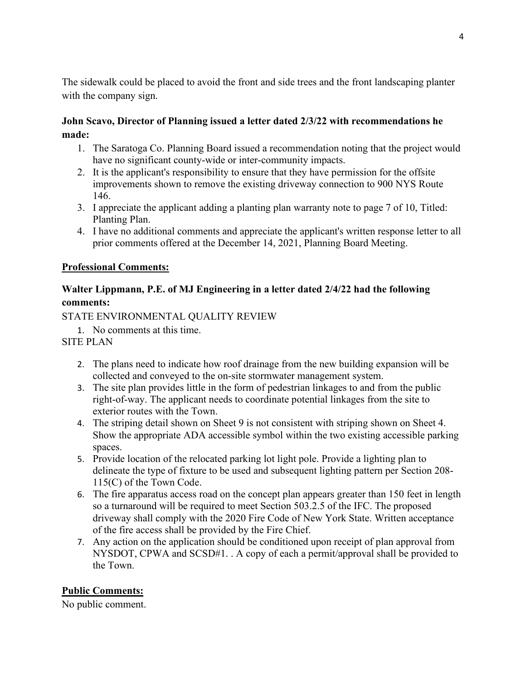The sidewalk could be placed to avoid the front and side trees and the front landscaping planter with the company sign.

# **John Scavo, Director of Planning issued a letter dated 2/3/22 with recommendations he made:**

- 1. The Saratoga Co. Planning Board issued a recommendation noting that the project would have no significant county-wide or inter-community impacts.
- 2. It is the applicant's responsibility to ensure that they have permission for the offsite improvements shown to remove the existing driveway connection to 900 NYS Route 146.
- 3. I appreciate the applicant adding a planting plan warranty note to page 7 of 10, Titled: Planting Plan.
- 4. I have no additional comments and appreciate the applicant's written response letter to all prior comments offered at the December 14, 2021, Planning Board Meeting.

## **Professional Comments:**

# **Walter Lippmann, P.E. of MJ Engineering in a letter dated 2/4/22 had the following comments:**

STATE ENVIRONMENTAL QUALITY REVIEW

1. No comments at this time.

# SITE PLAN

- 2. The plans need to indicate how roof drainage from the new building expansion will be collected and conveyed to the on-site stormwater management system.
- 3. The site plan provides little in the form of pedestrian linkages to and from the public right-of-way. The applicant needs to coordinate potential linkages from the site to exterior routes with the Town.
- 4. The striping detail shown on Sheet 9 is not consistent with striping shown on Sheet 4. Show the appropriate ADA accessible symbol within the two existing accessible parking spaces.
- 5. Provide location of the relocated parking lot light pole. Provide a lighting plan to delineate the type of fixture to be used and subsequent lighting pattern per Section 208- 115(C) of the Town Code.
- 6. The fire apparatus access road on the concept plan appears greater than 150 feet in length so a turnaround will be required to meet Section 503.2.5 of the IFC. The proposed driveway shall comply with the 2020 Fire Code of New York State. Written acceptance of the fire access shall be provided by the Fire Chief.
- 7. Any action on the application should be conditioned upon receipt of plan approval from NYSDOT, CPWA and SCSD#1. . A copy of each a permit/approval shall be provided to the Town.

# **Public Comments:**

No public comment.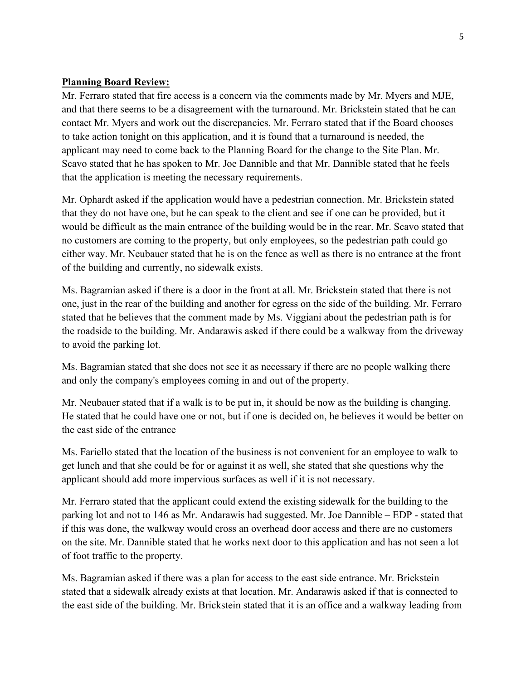## **Planning Board Review:**

Mr. Ferraro stated that fire access is a concern via the comments made by Mr. Myers and MJE, and that there seems to be a disagreement with the turnaround. Mr. Brickstein stated that he can contact Mr. Myers and work out the discrepancies. Mr. Ferraro stated that if the Board chooses to take action tonight on this application, and it is found that a turnaround is needed, the applicant may need to come back to the Planning Board for the change to the Site Plan. Mr. Scavo stated that he has spoken to Mr. Joe Dannible and that Mr. Dannible stated that he feels that the application is meeting the necessary requirements.

Mr. Ophardt asked if the application would have a pedestrian connection. Mr. Brickstein stated that they do not have one, but he can speak to the client and see if one can be provided, but it would be difficult as the main entrance of the building would be in the rear. Mr. Scavo stated that no customers are coming to the property, but only employees, so the pedestrian path could go either way. Mr. Neubauer stated that he is on the fence as well as there is no entrance at the front of the building and currently, no sidewalk exists.

Ms. Bagramian asked if there is a door in the front at all. Mr. Brickstein stated that there is not one, just in the rear of the building and another for egress on the side of the building. Mr. Ferraro stated that he believes that the comment made by Ms. Viggiani about the pedestrian path is for the roadside to the building. Mr. Andarawis asked if there could be a walkway from the driveway to avoid the parking lot.

Ms. Bagramian stated that she does not see it as necessary if there are no people walking there and only the company's employees coming in and out of the property.

Mr. Neubauer stated that if a walk is to be put in, it should be now as the building is changing. He stated that he could have one or not, but if one is decided on, he believes it would be better on the east side of the entrance

Ms. Fariello stated that the location of the business is not convenient for an employee to walk to get lunch and that she could be for or against it as well, she stated that she questions why the applicant should add more impervious surfaces as well if it is not necessary.

Mr. Ferraro stated that the applicant could extend the existing sidewalk for the building to the parking lot and not to 146 as Mr. Andarawis had suggested. Mr. Joe Dannible – EDP - stated that if this was done, the walkway would cross an overhead door access and there are no customers on the site. Mr. Dannible stated that he works next door to this application and has not seen a lot of foot traffic to the property.

Ms. Bagramian asked if there was a plan for access to the east side entrance. Mr. Brickstein stated that a sidewalk already exists at that location. Mr. Andarawis asked if that is connected to the east side of the building. Mr. Brickstein stated that it is an office and a walkway leading from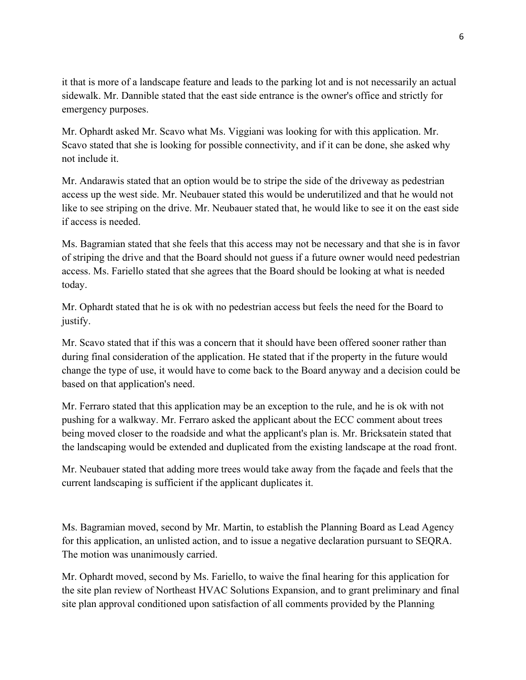it that is more of a landscape feature and leads to the parking lot and is not necessarily an actual sidewalk. Mr. Dannible stated that the east side entrance is the owner's office and strictly for emergency purposes.

Mr. Ophardt asked Mr. Scavo what Ms. Viggiani was looking for with this application. Mr. Scavo stated that she is looking for possible connectivity, and if it can be done, she asked why not include it.

Mr. Andarawis stated that an option would be to stripe the side of the driveway as pedestrian access up the west side. Mr. Neubauer stated this would be underutilized and that he would not like to see striping on the drive. Mr. Neubauer stated that, he would like to see it on the east side if access is needed.

Ms. Bagramian stated that she feels that this access may not be necessary and that she is in favor of striping the drive and that the Board should not guess if a future owner would need pedestrian access. Ms. Fariello stated that she agrees that the Board should be looking at what is needed today.

Mr. Ophardt stated that he is ok with no pedestrian access but feels the need for the Board to justify.

Mr. Scavo stated that if this was a concern that it should have been offered sooner rather than during final consideration of the application. He stated that if the property in the future would change the type of use, it would have to come back to the Board anyway and a decision could be based on that application's need.

Mr. Ferraro stated that this application may be an exception to the rule, and he is ok with not pushing for a walkway. Mr. Ferraro asked the applicant about the ECC comment about trees being moved closer to the roadside and what the applicant's plan is. Mr. Bricksatein stated that the landscaping would be extended and duplicated from the existing landscape at the road front.

Mr. Neubauer stated that adding more trees would take away from the façade and feels that the current landscaping is sufficient if the applicant duplicates it.

Ms. Bagramian moved, second by Mr. Martin, to establish the Planning Board as Lead Agency for this application, an unlisted action, and to issue a negative declaration pursuant to SEQRA. The motion was unanimously carried.

Mr. Ophardt moved, second by Ms. Fariello, to waive the final hearing for this application for the site plan review of Northeast HVAC Solutions Expansion, and to grant preliminary and final site plan approval conditioned upon satisfaction of all comments provided by the Planning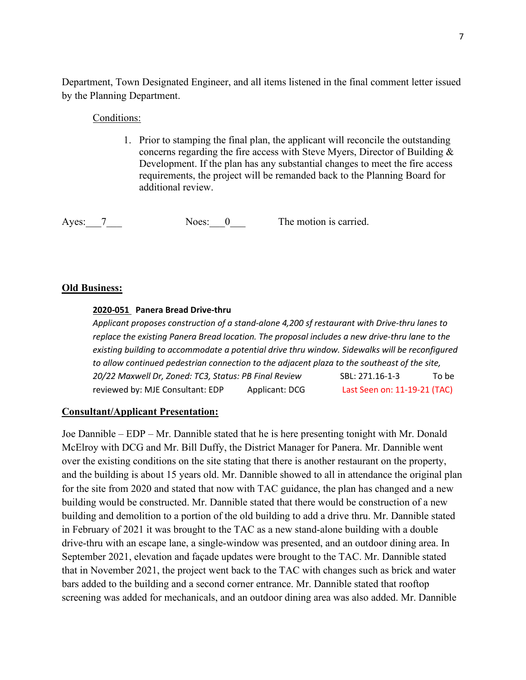Department, Town Designated Engineer, and all items listened in the final comment letter issued by the Planning Department.

## Conditions:

1. Prior to stamping the final plan, the applicant will reconcile the outstanding concerns regarding the fire access with Steve Myers, Director of Building & Development. If the plan has any substantial changes to meet the fire access requirements, the project will be remanded back to the Planning Board for additional review.

Ayes: 7 Noes: 0 The motion is carried.

## **Old Business:**

## **2020-051 Panera Bread Drive-thru**

*Applicant proposes construction of a stand-alone 4,200 sf restaurant with Drive-thru lanes to replace the existing Panera Bread location. The proposal includes a new drive-thru lane to the existing building to accommodate a potential drive thru window. Sidewalks will be reconfigured to allow continued pedestrian connection to the adjacent plaza to the southeast of the site, 20/22 Maxwell Dr, Zoned: TC3, Status: PB Final Review* SBL: 271.16-1-3 To be reviewed by: MJE Consultant: EDP Applicant: DCG Last Seen on: 11-19-21 (TAC)

## **Consultant/Applicant Presentation:**

Joe Dannible – EDP – Mr. Dannible stated that he is here presenting tonight with Mr. Donald McElroy with DCG and Mr. Bill Duffy, the District Manager for Panera. Mr. Dannible went over the existing conditions on the site stating that there is another restaurant on the property, and the building is about 15 years old. Mr. Dannible showed to all in attendance the original plan for the site from 2020 and stated that now with TAC guidance, the plan has changed and a new building would be constructed. Mr. Dannible stated that there would be construction of a new building and demolition to a portion of the old building to add a drive thru. Mr. Dannible stated in February of 2021 it was brought to the TAC as a new stand-alone building with a double drive-thru with an escape lane, a single-window was presented, and an outdoor dining area. In September 2021, elevation and façade updates were brought to the TAC. Mr. Dannible stated that in November 2021, the project went back to the TAC with changes such as brick and water bars added to the building and a second corner entrance. Mr. Dannible stated that rooftop screening was added for mechanicals, and an outdoor dining area was also added. Mr. Dannible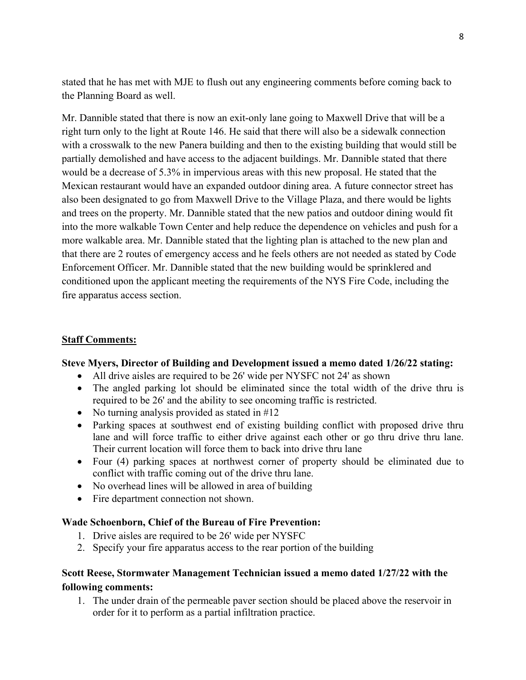stated that he has met with MJE to flush out any engineering comments before coming back to the Planning Board as well.

Mr. Dannible stated that there is now an exit-only lane going to Maxwell Drive that will be a right turn only to the light at Route 146. He said that there will also be a sidewalk connection with a crosswalk to the new Panera building and then to the existing building that would still be partially demolished and have access to the adjacent buildings. Mr. Dannible stated that there would be a decrease of 5.3% in impervious areas with this new proposal. He stated that the Mexican restaurant would have an expanded outdoor dining area. A future connector street has also been designated to go from Maxwell Drive to the Village Plaza, and there would be lights and trees on the property. Mr. Dannible stated that the new patios and outdoor dining would fit into the more walkable Town Center and help reduce the dependence on vehicles and push for a more walkable area. Mr. Dannible stated that the lighting plan is attached to the new plan and that there are 2 routes of emergency access and he feels others are not needed as stated by Code Enforcement Officer. Mr. Dannible stated that the new building would be sprinklered and conditioned upon the applicant meeting the requirements of the NYS Fire Code, including the fire apparatus access section.

### **Staff Comments:**

#### **Steve Myers, Director of Building and Development issued a memo dated 1/26/22 stating:**

- All drive aisles are required to be 26' wide per NYSFC not 24' as shown
- The angled parking lot should be eliminated since the total width of the drive thru is required to be 26' and the ability to see oncoming traffic is restricted.
- No turning analysis provided as stated in #12
- Parking spaces at southwest end of existing building conflict with proposed drive thru lane and will force traffic to either drive against each other or go thru drive thru lane. Their current location will force them to back into drive thru lane
- Four (4) parking spaces at northwest corner of property should be eliminated due to conflict with traffic coming out of the drive thru lane.
- No overhead lines will be allowed in area of building
- Fire department connection not shown.

#### **Wade Schoenborn, Chief of the Bureau of Fire Prevention:**

- 1. Drive aisles are required to be 26' wide per NYSFC
- 2. Specify your fire apparatus access to the rear portion of the building

## **Scott Reese, Stormwater Management Technician issued a memo dated 1/27/22 with the following comments:**

1. The under drain of the permeable paver section should be placed above the reservoir in order for it to perform as a partial infiltration practice.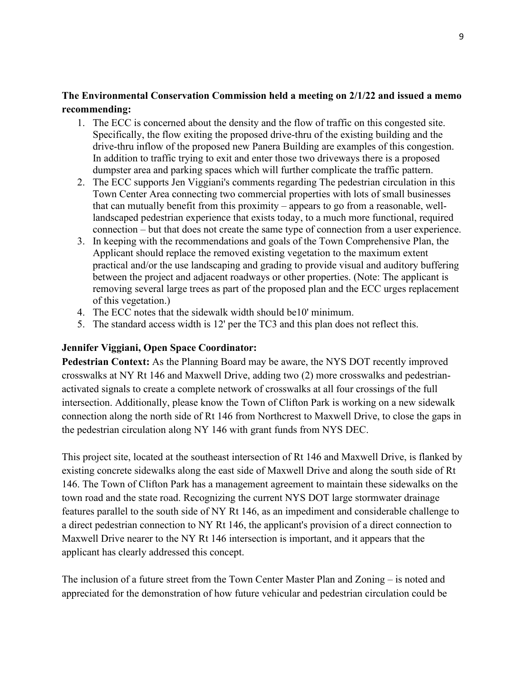## **The Environmental Conservation Commission held a meeting on 2/1/22 and issued a memo recommending:**

- 1. The ECC is concerned about the density and the flow of traffic on this congested site. Specifically, the flow exiting the proposed drive-thru of the existing building and the drive-thru inflow of the proposed new Panera Building are examples of this congestion. In addition to traffic trying to exit and enter those two driveways there is a proposed dumpster area and parking spaces which will further complicate the traffic pattern.
- 2. The ECC supports Jen Viggiani's comments regarding The pedestrian circulation in this Town Center Area connecting two commercial properties with lots of small businesses that can mutually benefit from this proximity – appears to go from a reasonable, welllandscaped pedestrian experience that exists today, to a much more functional, required connection – but that does not create the same type of connection from a user experience.
- 3. In keeping with the recommendations and goals of the Town Comprehensive Plan, the Applicant should replace the removed existing vegetation to the maximum extent practical and/or the use landscaping and grading to provide visual and auditory buffering between the project and adjacent roadways or other properties. (Note: The applicant is removing several large trees as part of the proposed plan and the ECC urges replacement of this vegetation.)
- 4. The ECC notes that the sidewalk width should be10' minimum.
- 5. The standard access width is 12' per the TC3 and this plan does not reflect this.

#### **Jennifer Viggiani, Open Space Coordinator:**

**Pedestrian Context:** As the Planning Board may be aware, the NYS DOT recently improved crosswalks at NY Rt 146 and Maxwell Drive, adding two (2) more crosswalks and pedestrianactivated signals to create a complete network of crosswalks at all four crossings of the full intersection. Additionally, please know the Town of Clifton Park is working on a new sidewalk connection along the north side of Rt 146 from Northcrest to Maxwell Drive, to close the gaps in the pedestrian circulation along NY 146 with grant funds from NYS DEC.

This project site, located at the southeast intersection of Rt 146 and Maxwell Drive, is flanked by existing concrete sidewalks along the east side of Maxwell Drive and along the south side of Rt 146. The Town of Clifton Park has a management agreement to maintain these sidewalks on the town road and the state road. Recognizing the current NYS DOT large stormwater drainage features parallel to the south side of NY Rt 146, as an impediment and considerable challenge to a direct pedestrian connection to NY Rt 146, the applicant's provision of a direct connection to Maxwell Drive nearer to the NY Rt 146 intersection is important, and it appears that the applicant has clearly addressed this concept.

The inclusion of a future street from the Town Center Master Plan and Zoning – is noted and appreciated for the demonstration of how future vehicular and pedestrian circulation could be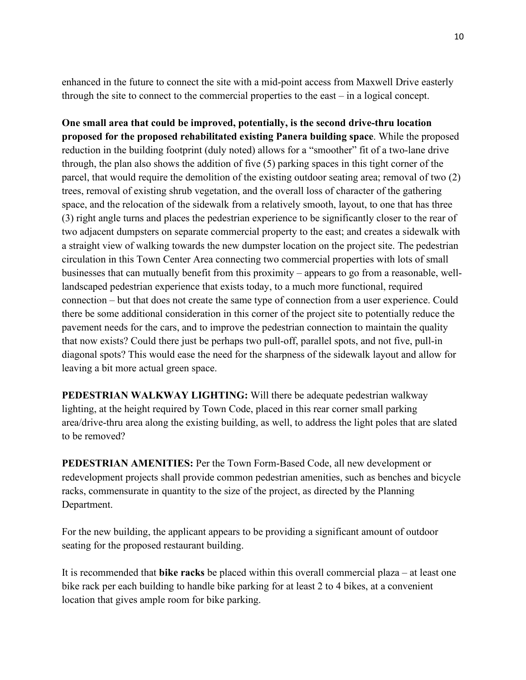enhanced in the future to connect the site with a mid-point access from Maxwell Drive easterly through the site to connect to the commercial properties to the east – in a logical concept.

**One small area that could be improved, potentially, is the second drive-thru location proposed for the proposed rehabilitated existing Panera building space**. While the proposed reduction in the building footprint (duly noted) allows for a "smoother" fit of a two-lane drive through, the plan also shows the addition of five (5) parking spaces in this tight corner of the parcel, that would require the demolition of the existing outdoor seating area; removal of two (2) trees, removal of existing shrub vegetation, and the overall loss of character of the gathering space, and the relocation of the sidewalk from a relatively smooth, layout, to one that has three (3) right angle turns and places the pedestrian experience to be significantly closer to the rear of two adjacent dumpsters on separate commercial property to the east; and creates a sidewalk with a straight view of walking towards the new dumpster location on the project site. The pedestrian circulation in this Town Center Area connecting two commercial properties with lots of small businesses that can mutually benefit from this proximity – appears to go from a reasonable, welllandscaped pedestrian experience that exists today, to a much more functional, required connection – but that does not create the same type of connection from a user experience. Could there be some additional consideration in this corner of the project site to potentially reduce the pavement needs for the cars, and to improve the pedestrian connection to maintain the quality that now exists? Could there just be perhaps two pull-off, parallel spots, and not five, pull-in diagonal spots? This would ease the need for the sharpness of the sidewalk layout and allow for leaving a bit more actual green space.

**PEDESTRIAN WALKWAY LIGHTING:** Will there be adequate pedestrian walkway lighting, at the height required by Town Code, placed in this rear corner small parking area/drive-thru area along the existing building, as well, to address the light poles that are slated to be removed?

**PEDESTRIAN AMENITIES:** Per the Town Form-Based Code, all new development or redevelopment projects shall provide common pedestrian amenities, such as benches and bicycle racks, commensurate in quantity to the size of the project, as directed by the Planning Department.

For the new building, the applicant appears to be providing a significant amount of outdoor seating for the proposed restaurant building.

It is recommended that **bike racks** be placed within this overall commercial plaza – at least one bike rack per each building to handle bike parking for at least 2 to 4 bikes, at a convenient location that gives ample room for bike parking.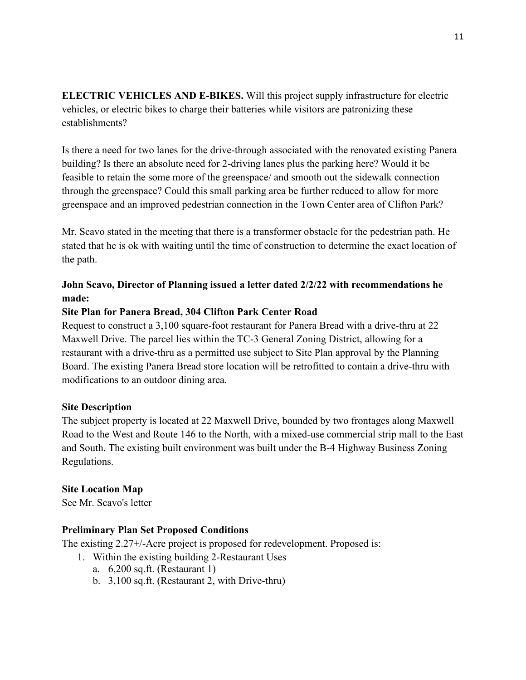**ELECTRIC VEHICLES AND E-BIKES.** Will this project supply infrastructure for electric vehicles, or electric bikes to charge their batteries while visitors are patronizing these establishments?

Is there a need for two lanes for the drive-through associated with the renovated existing Panera building? Is there an absolute need for 2-driving lanes plus the parking here? Would it be feasible to retain the some more of the greenspace/ and smooth out the sidewalk connection through the greenspace? Could this small parking area be further reduced to allow for more greenspace and an improved pedestrian connection in the Town Center area of Clifton Park?

Mr. Scavo stated in the meeting that there is a transformer obstacle for the pedestrian path. He stated that he is ok with waiting until the time of construction to determine the exact location of the path.

# **John Scavo, Director of Planning issued a letter dated 2/2/22 with recommendations he made:**

## **Site Plan for Panera Bread, 304 Clifton Park Center Road**

Request to construct a 3,100 square-foot restaurant for Panera Bread with a drive-thru at 22 Maxwell Drive. The parcel lies within the TC-3 General Zoning District, allowing for a restaurant with a drive-thru as a permitted use subject to Site Plan approval by the Planning Board. The existing Panera Bread store location will be retrofitted to contain a drive-thru with modifications to an outdoor dining area.

## **Site Description**

The subject property is located at 22 Maxwell Drive, bounded by two frontages along Maxwell Road to the West and Route 146 to the North, with a mixed-use commercial strip mall to the East and South. The existing built environment was built under the B-4 Highway Business Zoning Regulations.

## **Site Location Map**

See Mr. Scavo's letter

## **Preliminary Plan Set Proposed Conditions**

The existing 2.27+/-Acre project is proposed for redevelopment. Proposed is:

- 1. Within the existing building 2-Restaurant Uses
	- a. 6,200 sq.ft. (Restaurant 1)
	- b. 3,100 sq.ft. (Restaurant 2, with Drive-thru)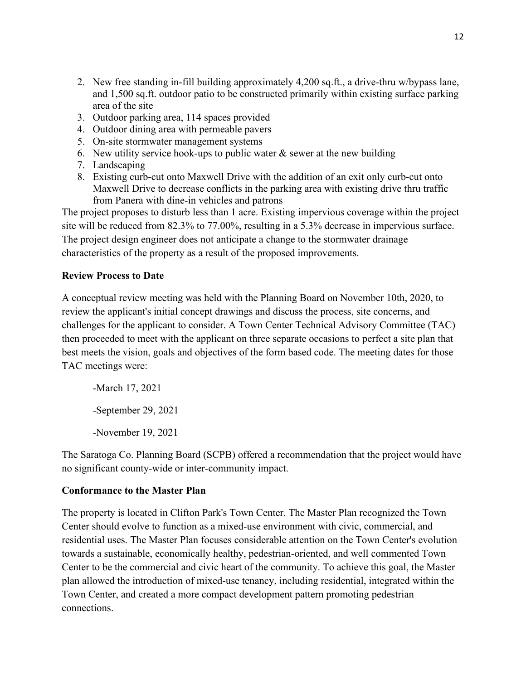- 2. New free standing in-fill building approximately 4,200 sq.ft., a drive-thru w/bypass lane, and 1,500 sq.ft. outdoor patio to be constructed primarily within existing surface parking area of the site
- 3. Outdoor parking area, 114 spaces provided
- 4. Outdoor dining area with permeable pavers
- 5. On-site stormwater management systems
- 6. New utility service hook-ups to public water  $\&$  sewer at the new building
- 7. Landscaping
- 8. Existing curb-cut onto Maxwell Drive with the addition of an exit only curb-cut onto Maxwell Drive to decrease conflicts in the parking area with existing drive thru traffic from Panera with dine-in vehicles and patrons

The project proposes to disturb less than 1 acre. Existing impervious coverage within the project site will be reduced from 82.3% to 77.00%, resulting in a 5.3% decrease in impervious surface. The project design engineer does not anticipate a change to the stormwater drainage characteristics of the property as a result of the proposed improvements.

## **Review Process to Date**

A conceptual review meeting was held with the Planning Board on November 10th, 2020, to review the applicant's initial concept drawings and discuss the process, site concerns, and challenges for the applicant to consider. A Town Center Technical Advisory Committee (TAC) then proceeded to meet with the applicant on three separate occasions to perfect a site plan that best meets the vision, goals and objectives of the form based code. The meeting dates for those TAC meetings were:

-March 17, 2021 -September 29, 2021 -November 19, 2021

The Saratoga Co. Planning Board (SCPB) offered a recommendation that the project would have no significant county-wide or inter-community impact.

## **Conformance to the Master Plan**

The property is located in Clifton Park's Town Center. The Master Plan recognized the Town Center should evolve to function as a mixed-use environment with civic, commercial, and residential uses. The Master Plan focuses considerable attention on the Town Center's evolution towards a sustainable, economically healthy, pedestrian-oriented, and well commented Town Center to be the commercial and civic heart of the community. To achieve this goal, the Master plan allowed the introduction of mixed-use tenancy, including residential, integrated within the Town Center, and created a more compact development pattern promoting pedestrian connections.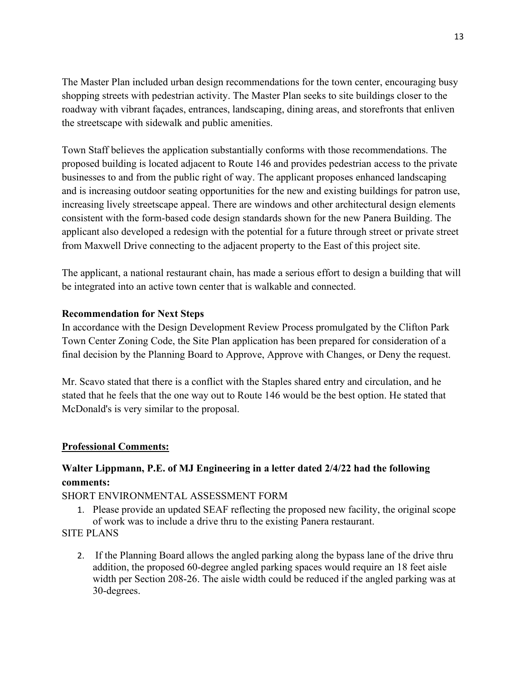The Master Plan included urban design recommendations for the town center, encouraging busy shopping streets with pedestrian activity. The Master Plan seeks to site buildings closer to the roadway with vibrant façades, entrances, landscaping, dining areas, and storefronts that enliven the streetscape with sidewalk and public amenities.

Town Staff believes the application substantially conforms with those recommendations. The proposed building is located adjacent to Route 146 and provides pedestrian access to the private businesses to and from the public right of way. The applicant proposes enhanced landscaping and is increasing outdoor seating opportunities for the new and existing buildings for patron use, increasing lively streetscape appeal. There are windows and other architectural design elements consistent with the form-based code design standards shown for the new Panera Building. The applicant also developed a redesign with the potential for a future through street or private street from Maxwell Drive connecting to the adjacent property to the East of this project site.

The applicant, a national restaurant chain, has made a serious effort to design a building that will be integrated into an active town center that is walkable and connected.

## **Recommendation for Next Steps**

In accordance with the Design Development Review Process promulgated by the Clifton Park Town Center Zoning Code, the Site Plan application has been prepared for consideration of a final decision by the Planning Board to Approve, Approve with Changes, or Deny the request.

Mr. Scavo stated that there is a conflict with the Staples shared entry and circulation, and he stated that he feels that the one way out to Route 146 would be the best option. He stated that McDonald's is very similar to the proposal.

## **Professional Comments:**

# **Walter Lippmann, P.E. of MJ Engineering in a letter dated 2/4/22 had the following comments:**

## SHORT ENVIRONMENTAL ASSESSMENT FORM

1. Please provide an updated SEAF reflecting the proposed new facility, the original scope of work was to include a drive thru to the existing Panera restaurant.

# SITE PLANS

2. If the Planning Board allows the angled parking along the bypass lane of the drive thru addition, the proposed 60-degree angled parking spaces would require an 18 feet aisle width per Section 208-26. The aisle width could be reduced if the angled parking was at 30-degrees.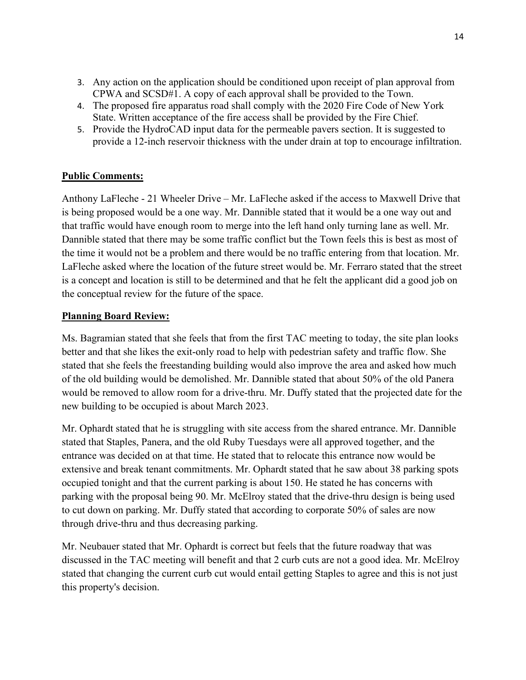- 3. Any action on the application should be conditioned upon receipt of plan approval from CPWA and SCSD#1. A copy of each approval shall be provided to the Town.
- 4. The proposed fire apparatus road shall comply with the 2020 Fire Code of New York State. Written acceptance of the fire access shall be provided by the Fire Chief.
- 5. Provide the HydroCAD input data for the permeable pavers section. It is suggested to provide a 12-inch reservoir thickness with the under drain at top to encourage infiltration.

## **Public Comments:**

Anthony LaFleche - 21 Wheeler Drive – Mr. LaFleche asked if the access to Maxwell Drive that is being proposed would be a one way. Mr. Dannible stated that it would be a one way out and that traffic would have enough room to merge into the left hand only turning lane as well. Mr. Dannible stated that there may be some traffic conflict but the Town feels this is best as most of the time it would not be a problem and there would be no traffic entering from that location. Mr. LaFleche asked where the location of the future street would be. Mr. Ferraro stated that the street is a concept and location is still to be determined and that he felt the applicant did a good job on the conceptual review for the future of the space.

## **Planning Board Review:**

Ms. Bagramian stated that she feels that from the first TAC meeting to today, the site plan looks better and that she likes the exit-only road to help with pedestrian safety and traffic flow. She stated that she feels the freestanding building would also improve the area and asked how much of the old building would be demolished. Mr. Dannible stated that about 50% of the old Panera would be removed to allow room for a drive-thru. Mr. Duffy stated that the projected date for the new building to be occupied is about March 2023.

Mr. Ophardt stated that he is struggling with site access from the shared entrance. Mr. Dannible stated that Staples, Panera, and the old Ruby Tuesdays were all approved together, and the entrance was decided on at that time. He stated that to relocate this entrance now would be extensive and break tenant commitments. Mr. Ophardt stated that he saw about 38 parking spots occupied tonight and that the current parking is about 150. He stated he has concerns with parking with the proposal being 90. Mr. McElroy stated that the drive-thru design is being used to cut down on parking. Mr. Duffy stated that according to corporate 50% of sales are now through drive-thru and thus decreasing parking.

Mr. Neubauer stated that Mr. Ophardt is correct but feels that the future roadway that was discussed in the TAC meeting will benefit and that 2 curb cuts are not a good idea. Mr. McElroy stated that changing the current curb cut would entail getting Staples to agree and this is not just this property's decision.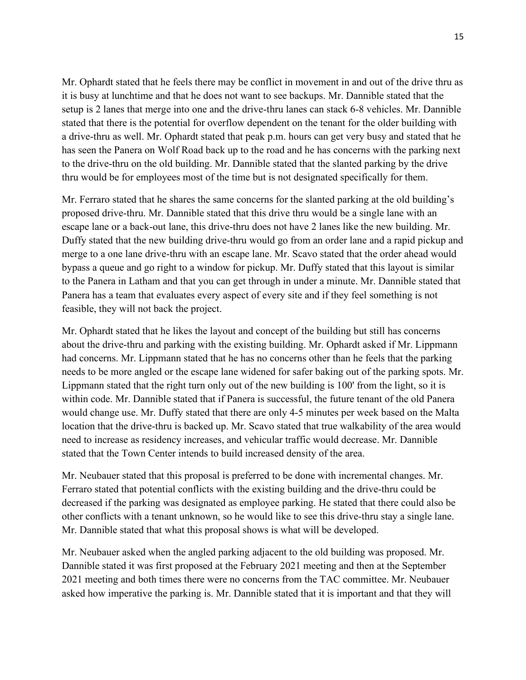Mr. Ophardt stated that he feels there may be conflict in movement in and out of the drive thru as it is busy at lunchtime and that he does not want to see backups. Mr. Dannible stated that the setup is 2 lanes that merge into one and the drive-thru lanes can stack 6-8 vehicles. Mr. Dannible stated that there is the potential for overflow dependent on the tenant for the older building with a drive-thru as well. Mr. Ophardt stated that peak p.m. hours can get very busy and stated that he has seen the Panera on Wolf Road back up to the road and he has concerns with the parking next to the drive-thru on the old building. Mr. Dannible stated that the slanted parking by the drive thru would be for employees most of the time but is not designated specifically for them.

Mr. Ferraro stated that he shares the same concerns for the slanted parking at the old building's proposed drive-thru. Mr. Dannible stated that this drive thru would be a single lane with an escape lane or a back-out lane, this drive-thru does not have 2 lanes like the new building. Mr. Duffy stated that the new building drive-thru would go from an order lane and a rapid pickup and merge to a one lane drive-thru with an escape lane. Mr. Scavo stated that the order ahead would bypass a queue and go right to a window for pickup. Mr. Duffy stated that this layout is similar to the Panera in Latham and that you can get through in under a minute. Mr. Dannible stated that Panera has a team that evaluates every aspect of every site and if they feel something is not feasible, they will not back the project.

Mr. Ophardt stated that he likes the layout and concept of the building but still has concerns about the drive-thru and parking with the existing building. Mr. Ophardt asked if Mr. Lippmann had concerns. Mr. Lippmann stated that he has no concerns other than he feels that the parking needs to be more angled or the escape lane widened for safer baking out of the parking spots. Mr. Lippmann stated that the right turn only out of the new building is 100' from the light, so it is within code. Mr. Dannible stated that if Panera is successful, the future tenant of the old Panera would change use. Mr. Duffy stated that there are only 4-5 minutes per week based on the Malta location that the drive-thru is backed up. Mr. Scavo stated that true walkability of the area would need to increase as residency increases, and vehicular traffic would decrease. Mr. Dannible stated that the Town Center intends to build increased density of the area.

Mr. Neubauer stated that this proposal is preferred to be done with incremental changes. Mr. Ferraro stated that potential conflicts with the existing building and the drive-thru could be decreased if the parking was designated as employee parking. He stated that there could also be other conflicts with a tenant unknown, so he would like to see this drive-thru stay a single lane. Mr. Dannible stated that what this proposal shows is what will be developed.

Mr. Neubauer asked when the angled parking adjacent to the old building was proposed. Mr. Dannible stated it was first proposed at the February 2021 meeting and then at the September 2021 meeting and both times there were no concerns from the TAC committee. Mr. Neubauer asked how imperative the parking is. Mr. Dannible stated that it is important and that they will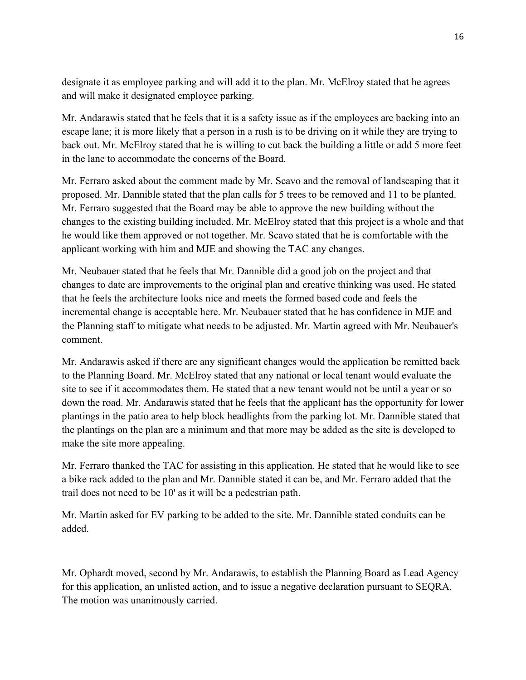designate it as employee parking and will add it to the plan. Mr. McElroy stated that he agrees and will make it designated employee parking.

Mr. Andarawis stated that he feels that it is a safety issue as if the employees are backing into an escape lane; it is more likely that a person in a rush is to be driving on it while they are trying to back out. Mr. McElroy stated that he is willing to cut back the building a little or add 5 more feet in the lane to accommodate the concerns of the Board.

Mr. Ferraro asked about the comment made by Mr. Scavo and the removal of landscaping that it proposed. Mr. Dannible stated that the plan calls for 5 trees to be removed and 11 to be planted. Mr. Ferraro suggested that the Board may be able to approve the new building without the changes to the existing building included. Mr. McElroy stated that this project is a whole and that he would like them approved or not together. Mr. Scavo stated that he is comfortable with the applicant working with him and MJE and showing the TAC any changes.

Mr. Neubauer stated that he feels that Mr. Dannible did a good job on the project and that changes to date are improvements to the original plan and creative thinking was used. He stated that he feels the architecture looks nice and meets the formed based code and feels the incremental change is acceptable here. Mr. Neubauer stated that he has confidence in MJE and the Planning staff to mitigate what needs to be adjusted. Mr. Martin agreed with Mr. Neubauer's comment.

Mr. Andarawis asked if there are any significant changes would the application be remitted back to the Planning Board. Mr. McElroy stated that any national or local tenant would evaluate the site to see if it accommodates them. He stated that a new tenant would not be until a year or so down the road. Mr. Andarawis stated that he feels that the applicant has the opportunity for lower plantings in the patio area to help block headlights from the parking lot. Mr. Dannible stated that the plantings on the plan are a minimum and that more may be added as the site is developed to make the site more appealing.

Mr. Ferraro thanked the TAC for assisting in this application. He stated that he would like to see a bike rack added to the plan and Mr. Dannible stated it can be, and Mr. Ferraro added that the trail does not need to be 10' as it will be a pedestrian path.

Mr. Martin asked for EV parking to be added to the site. Mr. Dannible stated conduits can be added.

Mr. Ophardt moved, second by Mr. Andarawis, to establish the Planning Board as Lead Agency for this application, an unlisted action, and to issue a negative declaration pursuant to SEQRA. The motion was unanimously carried.